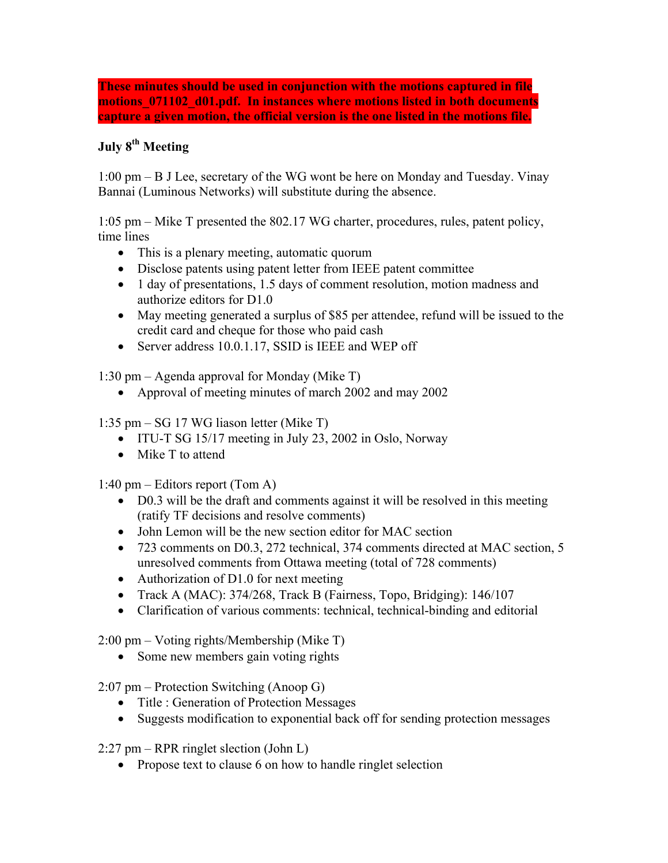**These minutes should be used in conjunction with the motions captured in file motions\_071102\_d01.pdf. In instances where motions listed in both documents capture a given motion, the official version is the one listed in the motions file.** 

## **July 8th Meeting**

1:00 pm – B J Lee, secretary of the WG wont be here on Monday and Tuesday. Vinay Bannai (Luminous Networks) will substitute during the absence.

 $1:05$  pm  $-$  Mike T presented the 802.17 WG charter, procedures, rules, patent policy, time lines

- This is a plenary meeting, automatic quorum
- Disclose patents using patent letter from IEEE patent committee
- 1 day of presentations, 1.5 days of comment resolution, motion madness and authorize editors for D1.0
- May meeting generated a surplus of \$85 per attendee, refund will be issued to the credit card and cheque for those who paid cash
- Server address 10.0.1.17, SSID is IEEE and WEP off

1:30 pm  $-$  Agenda approval for Monday (Mike T)

• Approval of meeting minutes of march 2002 and may 2002

1:35 pm  $-$  SG 17 WG liason letter (Mike T)

- ITU-T SG 15/17 meeting in July 23, 2002 in Oslo, Norway
- Mike T to attend

1:40 pm  $-$  Editors report (Tom A)

- D0.3 will be the draft and comments against it will be resolved in this meeting (ratify TF decisions and resolve comments)
- John Lemon will be the new section editor for MAC section
- 723 comments on D0.3, 272 technical, 374 comments directed at MAC section, 5 unresolved comments from Ottawa meeting (total of 728 comments)
- Authorization of D1.0 for next meeting
- Track A (MAC): 374/268, Track B (Fairness, Topo, Bridging): 146/107
- Clarification of various comments: technical, technical-binding and editorial

 $2:00 \text{ pm} - \text{Voting rights/Membership (Mike T)}$ 

• Some new members gain voting rights

 $2:07$  pm – Protection Switching (Anoop G)

- Title : Generation of Protection Messages
- Suggests modification to exponential back off for sending protection messages

 $2:27$  pm – RPR ringlet slection (John L)

• Propose text to clause 6 on how to handle ringlet selection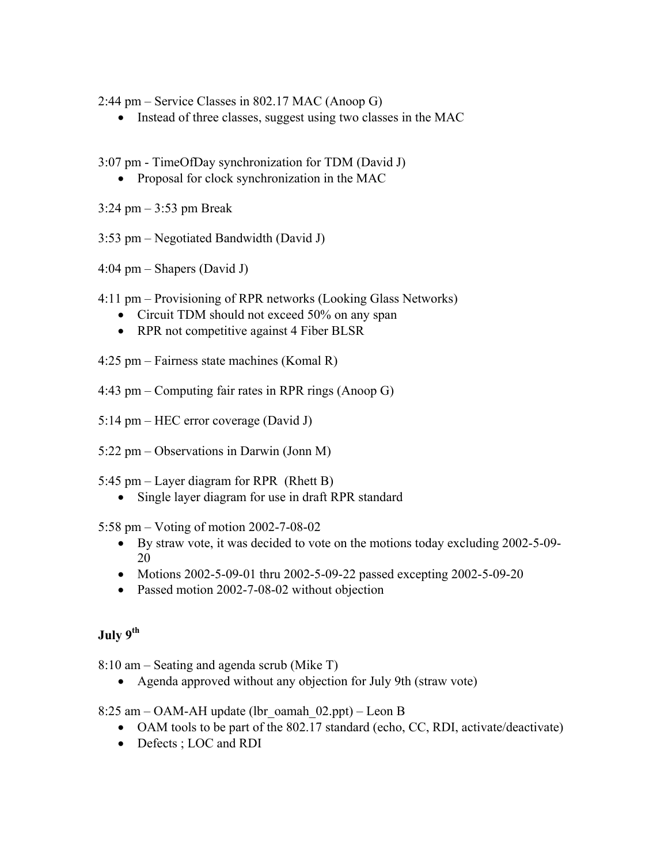$2:44 \text{ pm} -$  Service Classes in 802.17 MAC (Anoop G)

• Instead of three classes, suggest using two classes in the MAC

3:07 pm - TimeOfDay synchronization for TDM (David J)

• Proposal for clock synchronization in the MAC

 $3:24 \text{ pm} - 3:53 \text{ pm}$  Break

 $3:53$  pm – Negotiated Bandwidth (David J)

 $4:04 \text{ pm} - \text{Shapers}$  (David J)

- 4:11 pm Provisioning of RPR networks (Looking Glass Networks)
	- Circuit TDM should not exceed 50% on any span
	- RPR not competitive against 4 Fiber BLSR

 $4:25$  pm – Fairness state machines (Komal R)

- $4:43$  pm Computing fair rates in RPR rings (Anoop G)
- $5:14 \text{ pm} \text{HEC}$  error coverage (David J)
- $5:22$  pm Observations in Darwin (Jonn M)
- 5:45 pm  $-$  Layer diagram for RPR (Rhett B)
	- Single layer diagram for use in draft RPR standard

5:58 pm – Voting of motion 2002-7-08-02

- By straw vote, it was decided to vote on the motions today excluding 2002-5-09- 20
- Motions 2002-5-09-01 thru 2002-5-09-22 passed excepting 2002-5-09-20
- Passed motion 2002-7-08-02 without objection

## **July 9th**

 $8:10$  am  $-$  Seating and agenda scrub (Mike T)

• Agenda approved without any objection for July 9th (straw vote)

8:25 am  $-$  OAM-AH update (lbr\_oamah\_02.ppt)  $-$  Leon B

- OAM tools to be part of the 802.17 standard (echo, CC, RDI, activate/deactivate)
- Defects ; LOC and RDI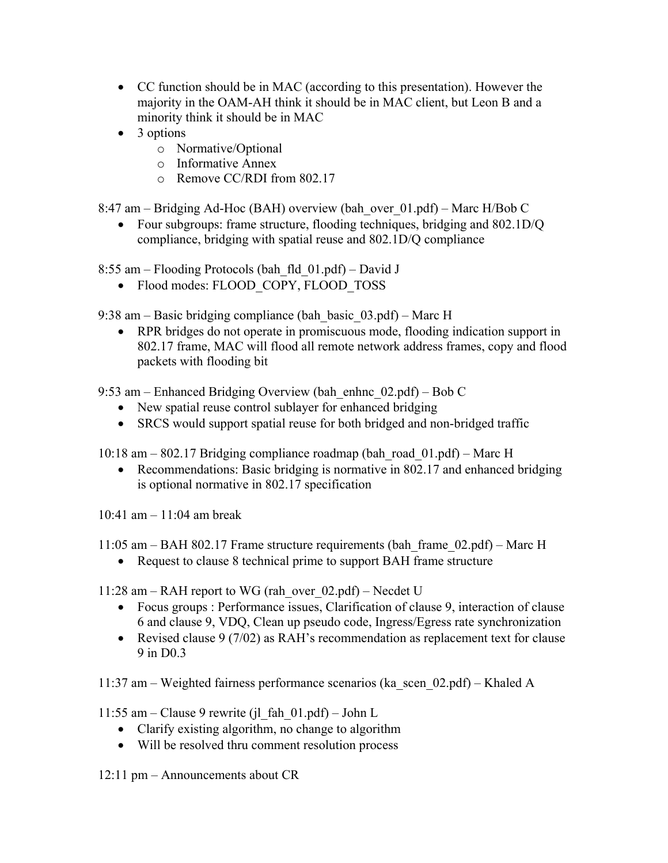- CC function should be in MAC (according to this presentation). However the majority in the OAM-AH think it should be in MAC client, but Leon B and a minority think it should be in MAC
- 3 options
	- o Normative/Optional
	- o Informative Annex
	- o Remove CC/RDI from 802.17

8:47 am – Bridging Ad-Hoc (BAH) overview (bah\_over  $01.pdf$ ) – Marc H/Bob C

• Four subgroups: frame structure, flooding techniques, bridging and 802.1D/O compliance, bridging with spatial reuse and 802.1D/Q compliance

8:55 am – Flooding Protocols (bah fld  $01.pdf$ ) – David J

• Flood modes: FLOOD\_COPY, FLOOD\_TOSS

9:38 am  $-$  Basic bridging compliance (bah basic  $(03.pdf)$  – Marc H

• RPR bridges do not operate in promiscuous mode, flooding indication support in 802.17 frame, MAC will flood all remote network address frames, copy and flood packets with flooding bit

9:53 am – Enhanced Bridging Overview (bah enhnc  $(02. \text{pdf}) - \text{Bob C}$ 

- New spatial reuse control sublayer for enhanced bridging
- SRCS would support spatial reuse for both bridged and non-bridged traffic

10:18 am  $-802.17$  Bridging compliance roadmap (bah\_road\_01.pdf)  $-$  Marc H

• Recommendations: Basic bridging is normative in 802.17 and enhanced bridging is optional normative in 802.17 specification

10:41 am  $-11:04$  am break

11:05 am  $-$  BAH 802.17 Frame structure requirements (bah frame 02.pdf)  $-$  Marc H

• Request to clause 8 technical prime to support BAH frame structure

11:28 am – RAH report to WG (rah over  $02.pdf$ ) – Necdet U

- Focus groups : Performance issues, Clarification of clause 9, interaction of clause 6 and clause 9, VDQ, Clean up pseudo code, Ingress/Egress rate synchronization
- Revised clause  $9(7/02)$  as RAH's recommendation as replacement text for clause 9 in D0.3

11:37 am – Weighted fairness performance scenarios (ka\_scen\_02.pdf) – Khaled A

11:55 am – Clause 9 rewrite (jl fah  $01.pdf$ ) – John L

- Clarify existing algorithm, no change to algorithm
- Will be resolved thru comment resolution process

 $12:11$  pm  $-$  Announcements about CR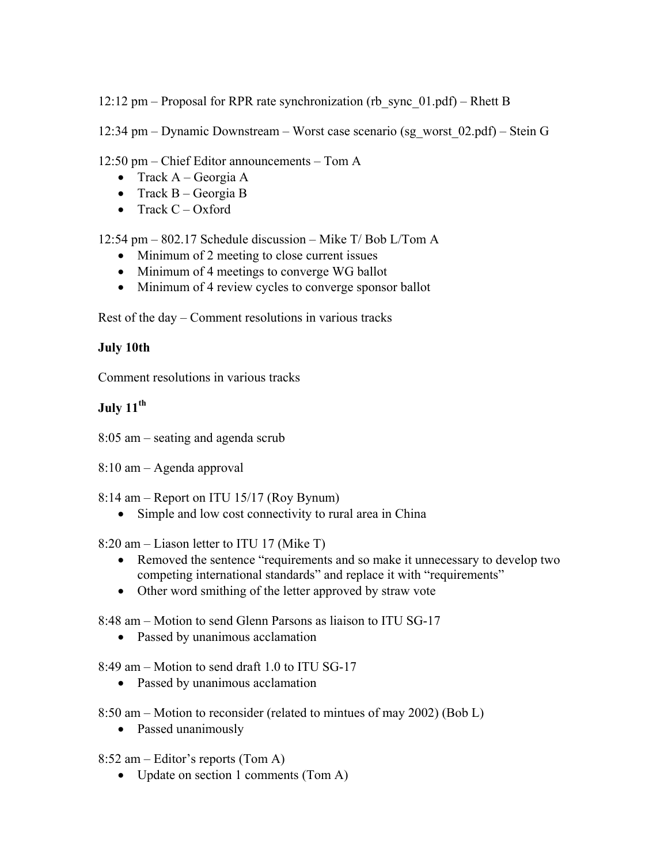12:12 pm – Proposal for RPR rate synchronization (rb sync  $01.pdf$ ) – Rhett B

12:34 pm – Dynamic Downstream – Worst case scenario (sg\_worst\_02.pdf) – Stein G

 $12:50 \text{ pm} - \text{Chief Editor announces} - \text{Tom A}$ 

- Track  $A GeorgiA$
- Track  $B Georgi$ a B
- Track  $C Ox$  ford

12:54 pm  $-$  802.17 Schedule discussion  $-$  Mike T/ Bob L/Tom A

- Minimum of 2 meeting to close current issues
- Minimum of 4 meetings to converge WG ballot
- Minimum of 4 review cycles to converge sponsor ballot

Rest of the day  $-$  Comment resolutions in various tracks

## **July 10th**

Comment resolutions in various tracks

## **July 11th**

- $8:05$  am seating and agenda scrub
- $8:10$  am  $-$  Agenda approval

 $8:14$  am – Report on ITU 15/17 (Roy Bynum)

• Simple and low cost connectivity to rural area in China

8:20 am  $-$  Liason letter to ITU 17 (Mike T)

- Removed the sentence "requirements and so make it unnecessary to develop two competing international standards" and replace it with "requirements"
- Other word smithing of the letter approved by straw vote

8:48 am – Motion to send Glenn Parsons as liaison to ITU SG-17

• Passed by unanimous acclamation

 $8:49$  am – Motion to send draft 1.0 to ITU SG-17

• Passed by unanimous acclamation

 $8:50$  am – Motion to reconsider (related to mintues of may 2002) (Bob L)

- Passed unanimously
- 8:52 am  $-$  Editor's reports (Tom A)
	- Update on section 1 comments (Tom A)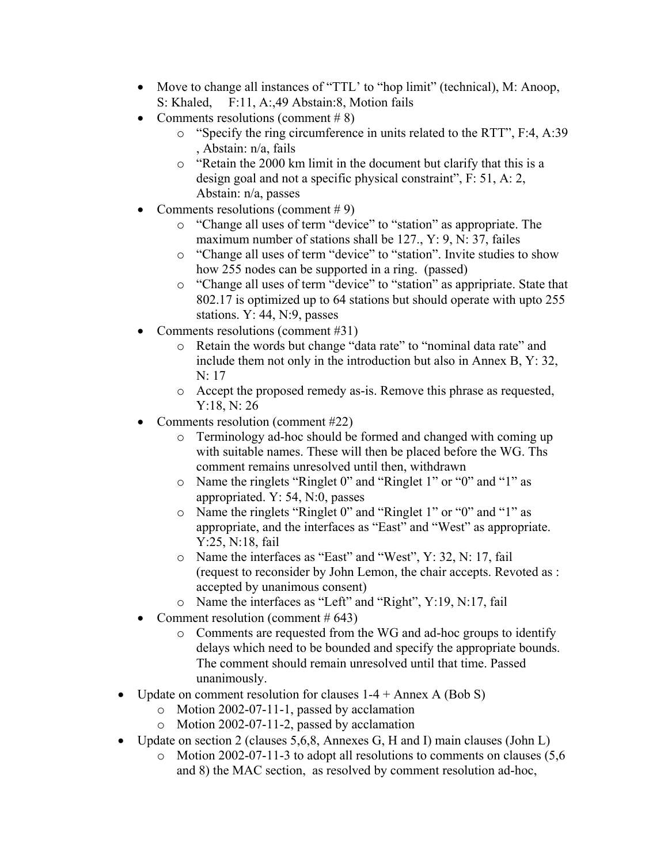- Move to change all instances of "TTL' to "hop limit" (technical), M: Anoop, S: Khaled, F:11, A:,49 Abstain:8, Motion fails
- Comments resolutions (comment  $# 8$ )
	- $\circ$  "Specify the ring circumference in units related to the RTT", F:4, A:39 , Abstain: n/a, fails
	- $\circ$  "Retain the 2000 km limit in the document but clarify that this is a design goal and not a specific physical constraint",  $F: 51, A: 2$ , Abstain: n/a, passes
- Comments resolutions (comment  $# 9$ )
	- o "Change all uses of term "device" to "station" as appropriate. The maximum number of stations shall be 127., Y: 9, N: 37, failes
	- o "Change all uses of term "device" to "station". Invite studies to show how 255 nodes can be supported in a ring. (passed)
	- $\circ$  "Change all uses of term "device" to "station" as appripriate. State that 802.17 is optimized up to 64 stations but should operate with upto 255 stations. Y: 44, N:9, passes
- Comments resolutions (comment #31)
	- o Retain the words but change "data rate" to "nominal data rate" and include them not only in the introduction but also in Annex B, Y: 32, N: 17
	- o Accept the proposed remedy as-is. Remove this phrase as requested, Y:18, N: 26
- Comments resolution (comment #22)
	- o Terminology ad-hoc should be formed and changed with coming up with suitable names. These will then be placed before the WG. Ths comment remains unresolved until then, withdrawn
	- o Name the ringlets "Ringlet 0" and "Ringlet 1" or "0" and "1" as appropriated. Y: 54, N:0, passes
	- o Name the ringlets "Ringlet 0" and "Ringlet 1" or "0" and "1" as appropriate, and the interfaces as "East" and "West" as appropriate. Y:25, N:18, fail
	- $\circ$  Name the interfaces as "East" and "West", Y: 32, N: 17, fail (request to reconsider by John Lemon, the chair accepts. Revoted as : accepted by unanimous consent)
	- $\circ$  Name the interfaces as "Left" and "Right", Y:19, N:17, fail
- Comment resolution (comment  $#643$ )
	- o Comments are requested from the WG and ad-hoc groups to identify delays which need to be bounded and specify the appropriate bounds. The comment should remain unresolved until that time. Passed unanimously.
- Update on comment resolution for clauses  $1-4 +$  Annex A (Bob S)
	- o Motion 2002-07-11-1, passed by acclamation
	- o Motion 2002-07-11-2, passed by acclamation
- Update on section 2 (clauses 5,6,8, Annexes G, H and I) main clauses (John L)
	- o Motion 2002-07-11-3 to adopt all resolutions to comments on clauses (5,6 and 8) the MAC section, as resolved by comment resolution ad-hoc,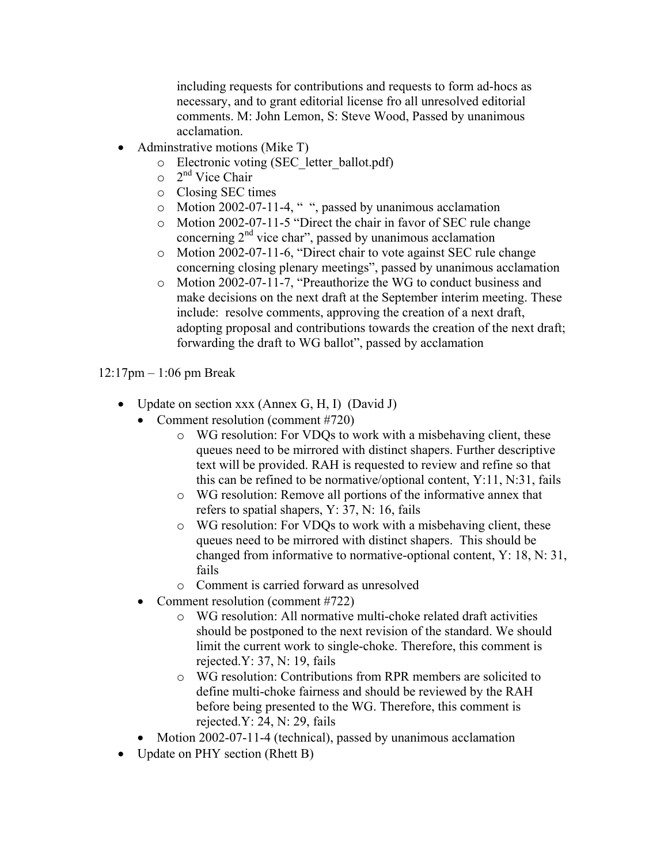including requests for contributions and requests to form ad-hocs as necessary, and to grant editorial license fro all unresolved editorial comments. M: John Lemon, S: Steve Wood, Passed by unanimous acclamation.

- Adminstrative motions (Mike T)
	- o Electronic voting (SEC\_letter\_ballot.pdf)
	- $\circ$  2<sup>nd</sup> Vice Chair
	- o Closing SEC times
	- $\circ$  Motion 2002-07-11-4, ", passed by unanimous acclamation
	- $\circ$  Motion 2002-07-11-5 "Direct the chair in favor of SEC rule change concerning  $2<sup>nd</sup>$  vice char<sup>3</sup>, passed by unanimous acclamation
	- $\circ$  Motion 2002-07-11-6, "Direct chair to vote against SEC rule change concerning closing plenary meetings", passed by unanimous acclamation
	- $\circ$  Motion 2002-07-11-7, "Preauthorize the WG to conduct business and make decisions on the next draft at the September interim meeting. These include: resolve comments, approving the creation of a next draft, adopting proposal and contributions towards the creation of the next draft; forwarding the draft to WG ballot", passed by acclamation

 $12:17$ pm  $-1:06$  pm Break

- Update on section xxx (Annex G, H, I) (David J)
	- Comment resolution (comment #720)
		- o WG resolution: For VDQs to work with a misbehaving client, these queues need to be mirrored with distinct shapers. Further descriptive text will be provided. RAH is requested to review and refine so that this can be refined to be normative/optional content, Y:11, N:31, fails
		- o WG resolution: Remove all portions of the informative annex that refers to spatial shapers, Y: 37, N: 16, fails
		- o WG resolution: For VDQs to work with a misbehaving client, these queues need to be mirrored with distinct shapers. This should be changed from informative to normative-optional content, Y: 18, N: 31, fails
		- o Comment is carried forward as unresolved
	- Comment resolution (comment #722)
		- o WG resolution: All normative multi-choke related draft activities should be postponed to the next revision of the standard. We should limit the current work to single-choke. Therefore, this comment is rejected.Y: 37, N: 19, fails
		- o WG resolution: Contributions from RPR members are solicited to define multi-choke fairness and should be reviewed by the RAH before being presented to the WG. Therefore, this comment is rejected.Y: 24, N: 29, fails
	- Motion 2002-07-11-4 (technical), passed by unanimous acclamation
- Update on PHY section (Rhett B)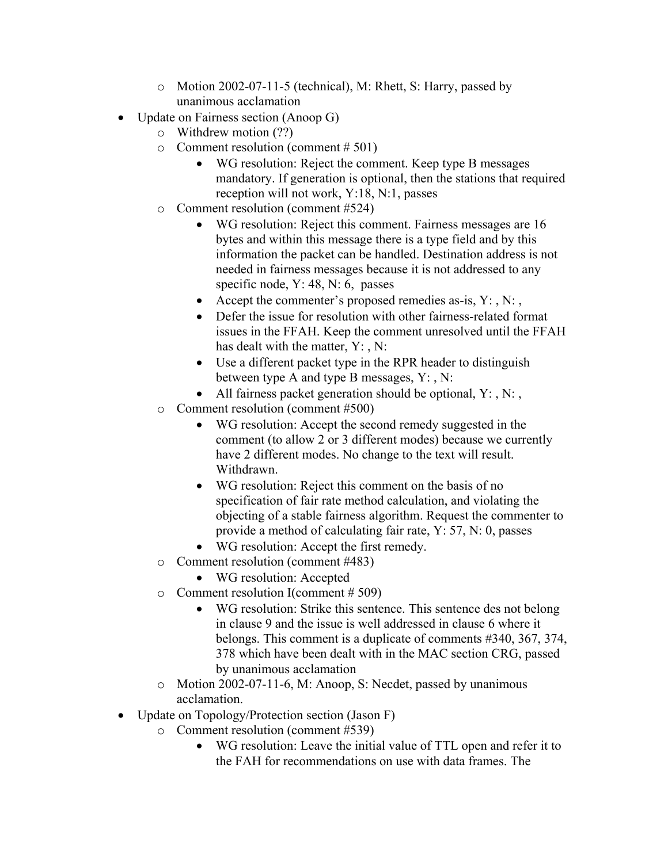- o Motion 2002-07-11-5 (technical), M: Rhett, S: Harry, passed by unanimous acclamation
- Update on Fairness section (Anoop G)
	- o Withdrew motion (??)
	- $\circ$  Comment resolution (comment # 501)
		- WG resolution: Reject the comment. Keep type B messages mandatory. If generation is optional, then the stations that required reception will not work, Y:18, N:1, passes
	- o Comment resolution (comment #524)
		- WG resolution: Reject this comment. Fairness messages are 16 bytes and within this message there is a type field and by this information the packet can be handled. Destination address is not needed in fairness messages because it is not addressed to any specific node, Y: 48, N: 6, passes
		- Accept the commenter's proposed remedies as-is,  $Y: N:$ ,
		- Defer the issue for resolution with other fairness-related format issues in the FFAH. Keep the comment unresolved until the FFAH has dealt with the matter, Y:, N:
		- Use a different packet type in the RPR header to distinguish between type A and type B messages, Y: , N:
		- All fairness packet generation should be optional,  $Y: N:$ ,
	- o Comment resolution (comment #500)
		- WG resolution: Accept the second remedy suggested in the comment (to allow 2 or 3 different modes) because we currently have 2 different modes. No change to the text will result. Withdrawn.
		- WG resolution: Reject this comment on the basis of no specification of fair rate method calculation, and violating the objecting of a stable fairness algorithm. Request the commenter to provide a method of calculating fair rate, Y: 57, N: 0, passes
		- WG resolution: Accept the first remedy.
	- o Comment resolution (comment #483)
		- WG resolution: Accepted
	- o Comment resolution I(comment # 509)
		- WG resolution: Strike this sentence. This sentence des not belong in clause 9 and the issue is well addressed in clause 6 where it belongs. This comment is a duplicate of comments #340, 367, 374, 378 which have been dealt with in the MAC section CRG, passed by unanimous acclamation
	- o Motion 2002-07-11-6, M: Anoop, S: Necdet, passed by unanimous acclamation.
- Update on Topology/Protection section (Jason F)
	- o Comment resolution (comment #539)
		- WG resolution: Leave the initial value of TTL open and refer it to the FAH for recommendations on use with data frames. The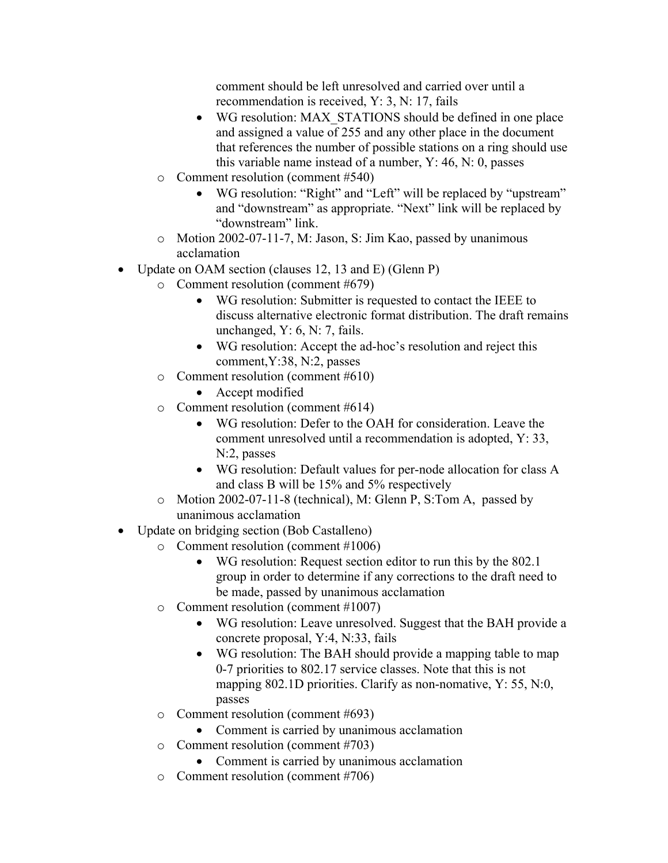comment should be left unresolved and carried over until a recommendation is received, Y: 3, N: 17, fails

- WG resolution: MAX STATIONS should be defined in one place and assigned a value of 255 and any other place in the document that references the number of possible stations on a ring should use this variable name instead of a number, Y: 46, N: 0, passes
- o Comment resolution (comment #540)
	- WG resolution: "Right" and "Left" will be replaced by "upstream" and "downstream" as appropriate. "Next" link will be replaced by "downstream" link.
- o Motion 2002-07-11-7, M: Jason, S: Jim Kao, passed by unanimous acclamation
- Update on OAM section (clauses 12, 13 and E) (Glenn P)
	- o Comment resolution (comment #679)
		- WG resolution: Submitter is requested to contact the IEEE to discuss alternative electronic format distribution. The draft remains unchanged,  $Y: 6, N: 7$ , fails.
		- WG resolution: Accept the ad-hoc's resolution and reject this comment,Y:38, N:2, passes
	- o Comment resolution (comment #610)
		- Accept modified
	- o Comment resolution (comment #614)
		- WG resolution: Defer to the OAH for consideration. Leave the comment unresolved until a recommendation is adopted, Y: 33, N:2, passes
		- WG resolution: Default values for per-node allocation for class A and class B will be 15% and 5% respectively
	- o Motion 2002-07-11-8 (technical), M: Glenn P, S:Tom A, passed by unanimous acclamation
- Update on bridging section (Bob Castalleno)
	- o Comment resolution (comment #1006)
		- WG resolution: Request section editor to run this by the 802.1 group in order to determine if any corrections to the draft need to be made, passed by unanimous acclamation
	- o Comment resolution (comment #1007)
		- WG resolution: Leave unresolved. Suggest that the BAH provide a concrete proposal, Y:4, N:33, fails
		- WG resolution: The BAH should provide a mapping table to map 0-7 priorities to 802.17 service classes. Note that this is not mapping 802.1D priorities. Clarify as non-nomative, Y: 55, N:0, passes
	- o Comment resolution (comment #693)
		- Comment is carried by unanimous acclamation
	- o Comment resolution (comment #703)
		- Comment is carried by unanimous acclamation
	- o Comment resolution (comment #706)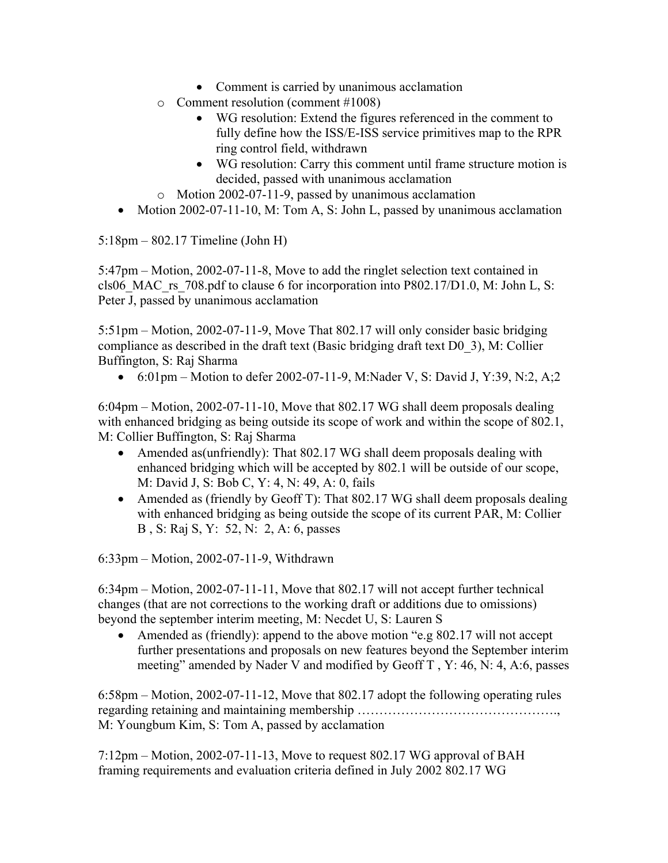- Comment is carried by unanimous acclamation
- o Comment resolution (comment #1008)
	- WG resolution: Extend the figures referenced in the comment to fully define how the ISS/E-ISS service primitives map to the RPR ring control field, withdrawn
	- WG resolution: Carry this comment until frame structure motion is decided, passed with unanimous acclamation
- o Motion 2002-07-11-9, passed by unanimous acclamation
- Motion 2002-07-11-10, M: Tom A, S: John L, passed by unanimous acclamation

 $5:18 \text{pm} - 802.17$  Timeline (John H)

 $5:47$ pm – Motion, 2002-07-11-8, Move to add the ringlet selection text contained in cls06\_MAC\_rs\_708.pdf to clause 6 for incorporation into P802.17/D1.0, M: John L, S: Peter J, passed by unanimous acclamation

 $5:51\text{pm}$  – Motion, 2002-07-11-9, Move That 802.17 will only consider basic bridging compliance as described in the draft text (Basic bridging draft text D0\_3), M: Collier Buffington, S: Raj Sharma

• 6:01pm – Motion to defer 2002-07-11-9, M:Nader V, S: David J, Y:39, N:2, A;2

 $6:04\text{pm}$  – Motion, 2002-07-11-10, Move that 802.17 WG shall deem proposals dealing with enhanced bridging as being outside its scope of work and within the scope of 802.1, M: Collier Buffington, S: Raj Sharma

- Amended as(unfriendly): That 802.17 WG shall deem proposals dealing with enhanced bridging which will be accepted by 802.1 will be outside of our scope, M: David J, S: Bob C, Y: 4, N: 49, A: 0, fails
- Amended as (friendly by Geoff T): That 802.17 WG shall deem proposals dealing with enhanced bridging as being outside the scope of its current PAR, M: Collier B , S: Raj S, Y: 52, N: 2, A: 6, passes

 $6:33$ pm – Motion, 2002-07-11-9, Withdrawn

 $6:34\text{pm} - \text{Motion}, 2002-07-11-11, \text{Move that } 802.17 \text{ will not accept further technical}$ changes (that are not corrections to the working draft or additions due to omissions) beyond the september interim meeting, M: Necdet U, S: Lauren S

• Amended as (friendly): append to the above motion "e.g  $802.17$  will not accept further presentations and proposals on new features beyond the September interim meeting" amended by Nader V and modified by Geoff T, Y: 46, N: 4, A:6, passes

 $6:58\text{pm}$  – Motion, 2002-07-11-12, Move that 802.17 adopt the following operating rules regarding retaining and maintaining membership ÖÖÖÖÖÖÖÖÖÖÖÖÖÖÖ., M: Youngbum Kim, S: Tom A, passed by acclamation

 $7:12\text{pm}$  – Motion, 2002-07-11-13, Move to request 802.17 WG approval of BAH framing requirements and evaluation criteria defined in July 2002 802.17 WG